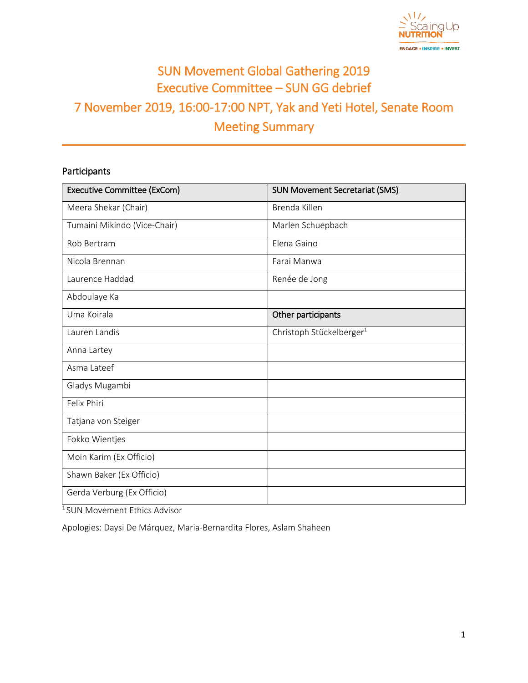

# SUN Movement Global Gathering 2019 Executive Committee – SUN GG debrief 7 November 2019, 16:00-17:00 NPT, Yak and Yeti Hotel, Senate Room Meeting Summary

# Participants

| <b>Executive Committee (ExCom)</b> | <b>SUN Movement Secretariat (SMS)</b> |  |  |
|------------------------------------|---------------------------------------|--|--|
| Meera Shekar (Chair)               | Brenda Killen                         |  |  |
| Tumaini Mikindo (Vice-Chair)       | Marlen Schuepbach                     |  |  |
| Rob Bertram                        | Elena Gaino                           |  |  |
| Nicola Brennan                     | Farai Manwa                           |  |  |
| Laurence Haddad                    | Renée de Jong                         |  |  |
| Abdoulaye Ka                       |                                       |  |  |
| Uma Koirala                        | Other participants                    |  |  |
| Lauren Landis                      | Christoph Stückelberger <sup>1</sup>  |  |  |
| Anna Lartey                        |                                       |  |  |
| Asma Lateef                        |                                       |  |  |
| Gladys Mugambi                     |                                       |  |  |
| Felix Phiri                        |                                       |  |  |
| Tatjana von Steiger                |                                       |  |  |
| Fokko Wientjes                     |                                       |  |  |
| Moin Karim (Ex Officio)            |                                       |  |  |
| Shawn Baker (Ex Officio)           |                                       |  |  |
| Gerda Verburg (Ex Officio)         |                                       |  |  |

<sup>1</sup>SUN Movement Ethics Advisor

Apologies: Daysi De Márquez, Maria-Bernardita Flores, Aslam Shaheen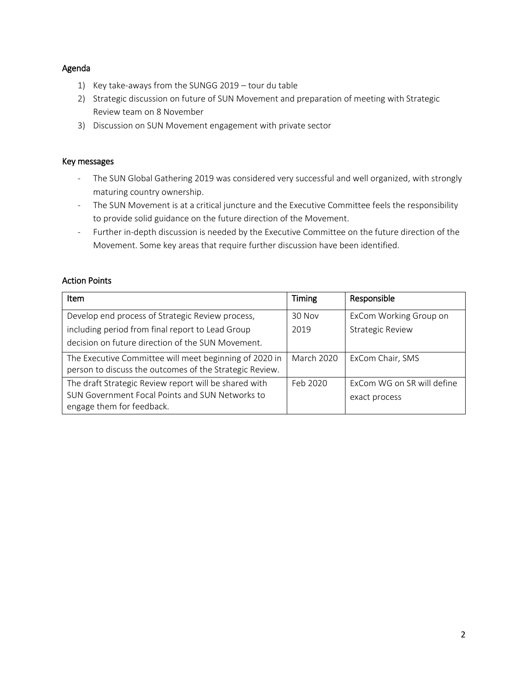# Agenda

- 1) Key take-aways from the SUNGG 2019 tour du table
- 2) Strategic discussion on future of SUN Movement and preparation of meeting with Strategic Review team on 8 November
- 3) Discussion on SUN Movement engagement with private sector

#### Key messages

- The SUN Global Gathering 2019 was considered very successful and well organized, with strongly maturing country ownership.
- The SUN Movement is at a critical juncture and the Executive Committee feels the responsibility to provide solid guidance on the future direction of the Movement.
- Further in-depth discussion is needed by the Executive Committee on the future direction of the Movement. Some key areas that require further discussion have been identified.

# Action Points

| <b>Item</b>                                                                                                       | <b>Timing</b>     | Responsible                |
|-------------------------------------------------------------------------------------------------------------------|-------------------|----------------------------|
| Develop end process of Strategic Review process,                                                                  | 30 Nov            | ExCom Working Group on     |
| including period from final report to Lead Group                                                                  | 2019              | <b>Strategic Review</b>    |
| decision on future direction of the SUN Movement.                                                                 |                   |                            |
| The Executive Committee will meet beginning of 2020 in<br>person to discuss the outcomes of the Strategic Review. | <b>March 2020</b> | ExCom Chair, SMS           |
| The draft Strategic Review report will be shared with                                                             | Feb 2020          | ExCom WG on SR will define |
| SUN Government Focal Points and SUN Networks to<br>engage them for feedback.                                      |                   | exact process              |